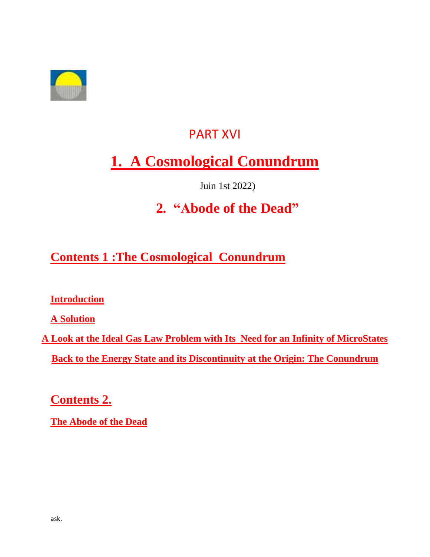

## PART XVI

# **1. A Cosmological Conundrum**

Juin 1st 2022)

# **2. "Abode of the Dead"**

## **Contents 1 :The Cosmological Conundrum**

**Introduction**

**A Solution**

**A Look at the Ideal Gas Law Problem with Its Need for an Infinity of MicroStates Back to the Energy State and its Discontinuity at the Origin: The Conundrum**

**Contents 2.**

**The Abode of the Dead**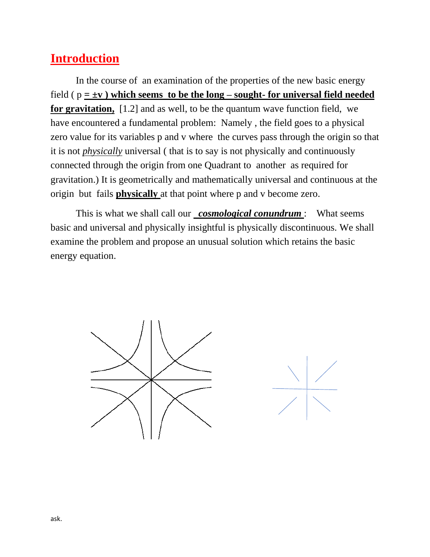## **Introduction**

In the course of an examination of the properties of the new basic energy field  $(p = \pm v)$  which seems to be the long – sought- for universal field needed **for gravitation,** [1.2] and as well, to be the quantum wave function field, we have encountered a fundamental problem: Namely , the field goes to a physical zero value for its variables p and v where the curves pass through the origin so that it is not *physically* universal ( that is to say is not physically and continuously connected through the origin from one Quadrant to another as required for gravitation.) It is geometrically and mathematically universal and continuous at the origin but fails **physically** at that point where p and v become zero.

This is what we shall call our *cosmological conundrum* : What seems basic and universal and physically insightful is physically discontinuous. We shall examine the problem and propose an unusual solution which retains the basic energy equation.

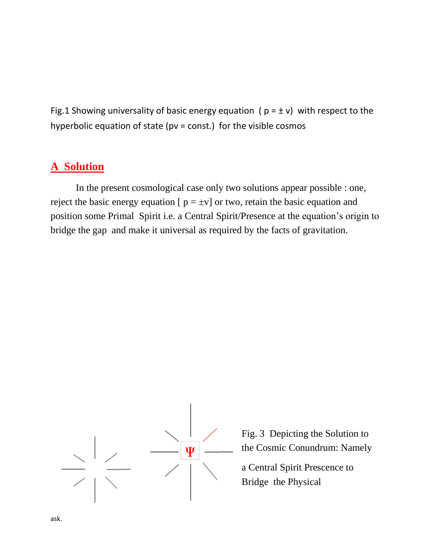Fig.1 Showing universality of basic energy equation ( $p = \pm v$ ) with respect to the hyperbolic equation of state ( $pv = const.$ ) for the visible cosmos

#### **A Solution**

In the present cosmological case only two solutions appear possible : one, reject the basic energy equation  $[p = \pm v]$  or two, retain the basic equation and position some Primal Spirit i.e. a Central Spirit/Presence at the equation's origin to bridge the gap and make it universal as required by the facts of gravitation.



Fig. 3 Depicting the Solution to the Cosmic Conundrum: Namely

a Central Spirit Prescence to Bridge the Physical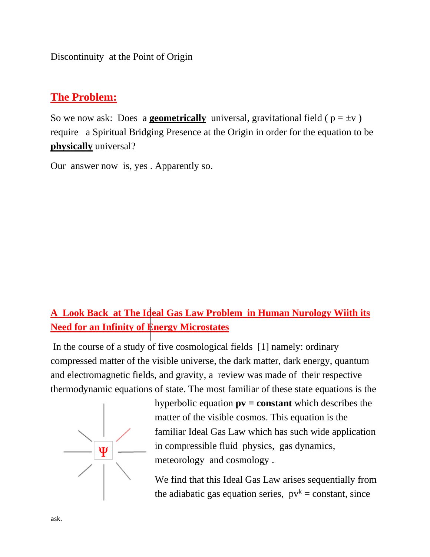Discontinuity at the Point of Origin

### **The Problem:**

So we now ask: Does a **geometrically** universal, gravitational field ( $p = \pm v$ ) require a Spiritual Bridging Presence at the Origin in order for the equation to be **physically** universal?

Our answer now is, yes . Apparently so.

## **A Look Back at The Ideal Gas Law Problem in Human Nurology Wiith its Need for an Infinity of Energy Microstates**

In the course of a study of five cosmological fields [1] namely: ordinary compressed matter of the visible universe, the dark matter, dark energy, quantum and electromagnetic fields, and gravity, a review was made of their respective thermodynamic equations of state. The most familiar of these state equations is the



hyperbolic equation **pv = constant** which describes the matter of the visible cosmos. This equation is the familiar Ideal Gas Law which has such wide application in compressible fluid physics, gas dynamics, meteorology and cosmology .

We find that this Ideal Gas Law arises sequentially from the adiabatic gas equation series,  $pv^k = constant$ , since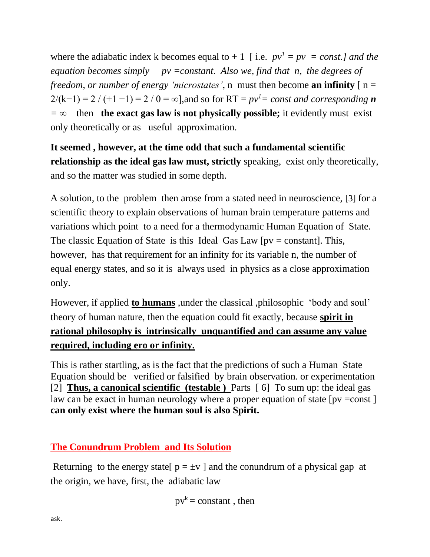where the adiabatic index k becomes equal to  $+1$  [ i.e.  $pv^{1} = pv = const.$ ] and the *equation becomes simply pv =constant. Also we, find that n, the degrees of freedom, or number of energy 'microstates', n* must then become **an infinity**  $\lceil n = \rceil$  $2/(k-1) = 2/(+1-1) = 2/0 = \infty$ , and so for RT =  $pv<sup>1</sup> = const$  and corresponding **n** *= ∞* then **the exact gas law is not physically possible;** it evidently must exist only theoretically or as useful approximation.

**It seemed , however, at the time odd that such a fundamental scientific relationship as the ideal gas law must, strictly** speaking, exist only theoretically, and so the matter was studied in some depth.

A solution, to the problem then arose from a stated need in neuroscience, [3] for a scientific theory to explain observations of human brain temperature patterns and variations which point to a need for a thermodynamic Human Equation of State. The classic Equation of State is this Ideal Gas Law  $[pv = constant]$ . This, however, has that requirement for an infinity for its variable n, the number of equal energy states, and so it is always used in physics as a close approximation only.

However, if applied **to humans** ,under the classical ,philosophic 'body and soul' theory of human nature, then the equation could fit exactly, because **spirit in rational philosophy is intrinsically unquantified and can assume any value required, including ero or infinity.**

This is rather startling, as is the fact that the predictions of such a Human State Equation should be verified or falsified by brain observation. or experimentation [2] **Thus, a canonical scientific (testable )** Parts [ 6] To sum up: the ideal gas law can be exact in human neurology where a proper equation of state [pv =const ] **can only exist where the human soul is also Spirit.**

#### **The Conundrum Problem and Its Solution**

Returning to the energy state  $p = \pm v$  and the conundrum of a physical gap at the origin, we have, first, the adiabatic law

$$
pv^k = constant
$$
, then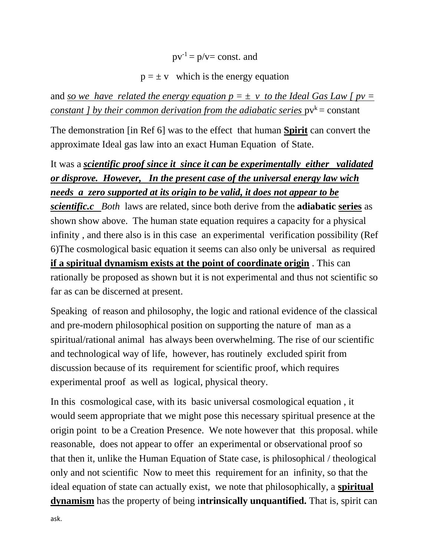$pv^{-1} = p/v = const.$  and

#### $p = \pm v$  which is the energy equation

and *so we have related the energy equation*  $p = \pm v$  *to the Ideal Gas Law*  $\int pv =$ *constant ] by their common derivation from the adiabatic series*  $pv^k = constant$ 

The demonstration [in Ref 6] was to the effect that human **Spirit** can convert the approximate Ideal gas law into an exact Human Equation of State.

It was a *scientific proof since it since it can be experimentally either validated or disprove. However, In the present case of the universal energy law wich needs a zero supported at its origin to be valid, it does not appear to be scientific.c Both* laws are related, since both derive from the **adiabatic series** as shown show above. The human state equation requires a capacity for a physical infinity , and there also is in this case an experimental verification possibility (Ref 6)The cosmological basic equation it seems can also only be universal as required **if a spiritual dynamism exists at the point of coordinate origin** . This can rationally be proposed as shown but it is not experimental and thus not scientific so far as can be discerned at present.

Speaking of reason and philosophy, the logic and rational evidence of the classical and pre-modern philosophical position on supporting the nature of man as a spiritual/rational animal has always been overwhelming. The rise of our scientific and technological way of life, however, has routinely excluded spirit from discussion because of its requirement for scientific proof, which requires experimental proof as well as logical, physical theory.

In this cosmological case, with its basic universal cosmological equation , it would seem appropriate that we might pose this necessary spiritual presence at the origin point to be a Creation Presence. We note however that this proposal. while reasonable, does not appear to offer an experimental or observational proof so that then it, unlike the Human Equation of State case, is philosophical / theological only and not scientific Now to meet this requirement for an infinity, so that the ideal equation of state can actually exist, we note that philosophically, a **spiritual dynamism** has the property of being i**ntrinsically unquantified.** That is, spirit can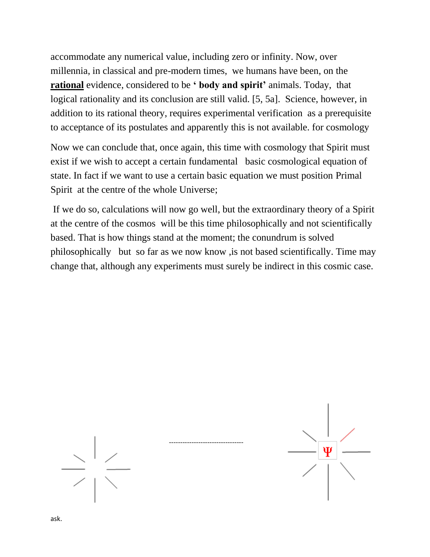accommodate any numerical value, including zero or infinity. Now, over millennia, in classical and pre-modern times, we humans have been, on the **rational** evidence, considered to be **' body and spirit'** animals. Today, that logical rationality and its conclusion are still valid. [5, 5a]. Science, however, in addition to its rational theory, requires experimental verification as a prerequisite to acceptance of its postulates and apparently this is not available. for cosmology

Now we can conclude that, once again, this time with cosmology that Spirit must exist if we wish to accept a certain fundamental basic cosmological equation of state. In fact if we want to use a certain basic equation we must position Primal Spirit at the centre of the whole Universe;

If we do so, calculations will now go well, but the extraordinary theory of a Spirit at the centre of the cosmos will be this time philosophically and not scientifically based. That is how things stand at the moment; the conundrum is solved philosophically but so far as we now know ,is not based scientifically. Time may change that, although any experiments must surely be indirect in this cosmic case.

---------------------------------



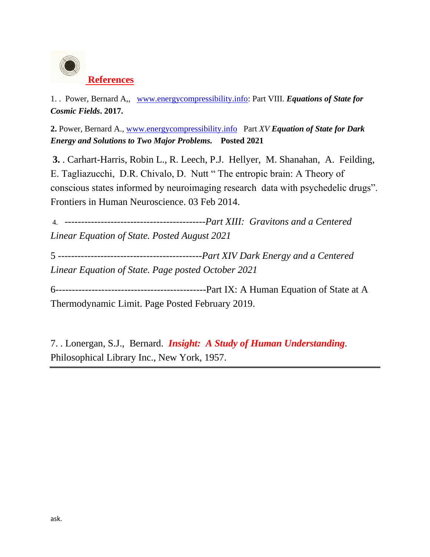

1. . Power, Bernard A,, [www.energycompressibility.info:](http://www.energycompressibikity.info/) Part VIII. *Equations of State for Cosmic Fields***. 2017.**

**2.** Power, Bernard A., [www.energycompressibility.info](http://www.energycompressibility.info/) Part *XV Equation of State for Dark Energy and Solutions to Two Major Problems.* **Posted 2021**

**3.** . Carhart-Harris, Robin L., R. Leech, P.J. Hellyer, M. Shanahan, A. Feilding, E. Tagliazucchi, D.R. Chivalo, D. Nutt " The entropic brain: A Theory of conscious states informed by neuroimaging research data with psychedelic drugs". Frontiers in Human Neuroscience. 03 Feb 2014.

4. -------------------------------------------*Part XIII: Gravitons and a Centered Linear Equation of State. Posted August 2021*

5 *--------------------------------------------Part XIV Dark Energy and a Centered Linear Equation of State. Page posted October 2021*

6----------------------------------------------Part IX: A Human Equation of State at A Thermodynamic Limit. Page Posted February 2019.

7. . Lonergan, S.J., Bernard. *Insight: A Study of Human Understanding.* Philosophical Library Inc., New York, 1957.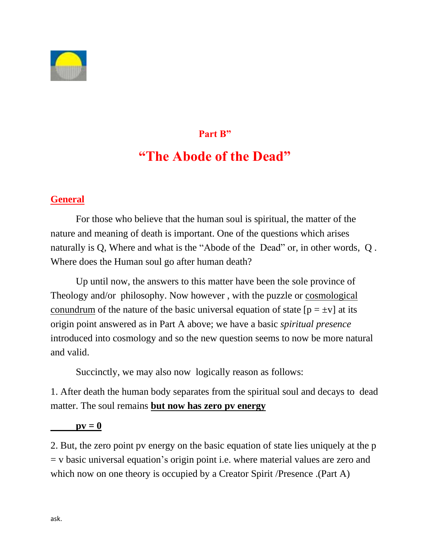

# **Part B" "The Abode of the Dead"**

#### **General**

For those who believe that the human soul is spiritual, the matter of the nature and meaning of death is important. One of the questions which arises naturally is Q, Where and what is the "Abode of the Dead" or, in other words, Q . Where does the Human soul go after human death?

Up until now, the answers to this matter have been the sole province of Theology and/or philosophy. Now however , with the puzzle or cosmological conundrum of the nature of the basic universal equation of state  $[p = \pm v]$  at its origin point answered as in Part A above; we have a basic *spiritual presence* introduced into cosmology and so the new question seems to now be more natural and valid.

Succinctly, we may also now logically reason as follows:

1. After death the human body separates from the spiritual soul and decays to dead matter. The soul remains **but now has zero pv energy**

#### $pv = 0$

2. But, the zero point pv energy on the basic equation of state lies uniquely at the p = v basic universal equation's origin point i.e. where material values are zero and which now on one theory is occupied by a Creator Spirit /Presence .(Part A)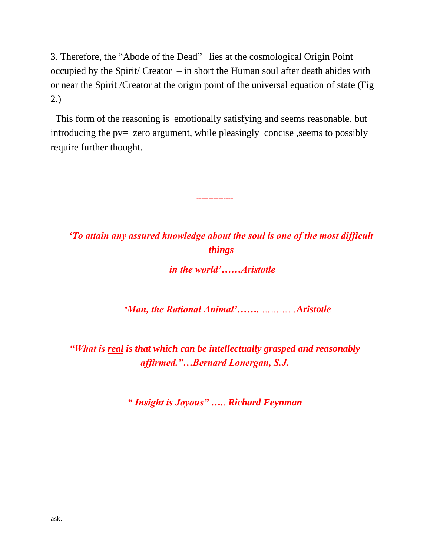3. Therefore, the "Abode of the Dead" lies at the cosmological Origin Point occupied by the Spirit/ Creator – in short the Human soul after death abides with or near the Spirit /Creator at the origin point of the universal equation of state (Fig 2.)

 This form of the reasoning is emotionally satisfying and seems reasonable, but introducing the pv= zero argument, while pleasingly concise, seems to possibly require further thought.

---------------------------------

---------------

*'To attain any assured knowledge about the soul is one of the most difficult things*

*in the world'……Aristotle*

*'Man, the Rational Animal'……. …………Aristotle*

*"What is real is that which can be intellectually grasped and reasonably affirmed."…Bernard Lonergan, S.J.*

*" Insight is Joyous" ….. Richard Feynman*